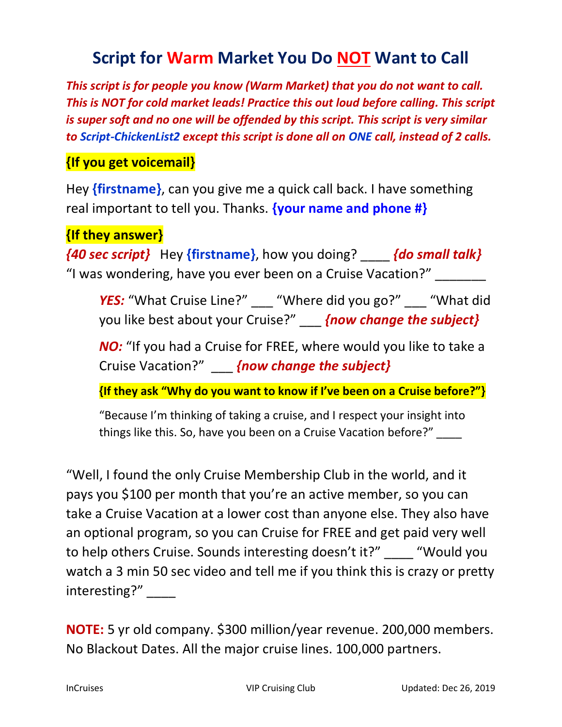## Script for Warm Market You Do NOT Want to Call

This script is for people you know (Warm Market) that you do not want to call. This is NOT for cold market leads! Practice this out loud before calling. This script is super soft and no one will be offended by this script. This script is very similar to Script-ChickenList2 except this script is done all on ONE call, instead of 2 calls.

## {If you get voicemail}

Hey {firstname}, can you give me a quick call back. I have something real important to tell you. Thanks. **{your name and phone #}** 

{If they answer}

 ${40 \text{ sec}$  script} Hey {firstname}, how you doing?  ${40 \text{ small}$  talk} "I was wondering, have you ever been on a Cruise Vacation?" \_\_\_\_\_\_\_

YES: "What Cruise Line?" \_\_\_ "Where did you go?" \_\_\_ "What did you like best about your Cruise?" \_\_ {now change the subject}

NO: "If you had a Cruise for FREE, where would you like to take a Cruise Vacation?" **{now change the subject}** 

{If they ask "Why do you want to know if I've been on a Cruise before?"}

"Because I'm thinking of taking a cruise, and I respect your insight into things like this. So, have you been on a Cruise Vacation before?"

"Well, I found the only Cruise Membership Club in the world, and it pays you \$100 per month that you're an active member, so you can take a Cruise Vacation at a lower cost than anyone else. They also have an optional program, so you can Cruise for FREE and get paid very well to help others Cruise. Sounds interesting doesn't it?" "Would you watch a 3 min 50 sec video and tell me if you think this is crazy or pretty interesting?" \_\_\_\_\_

NOTE: 5 yr old company. \$300 million/year revenue. 200,000 members. No Blackout Dates. All the major cruise lines. 100,000 partners.